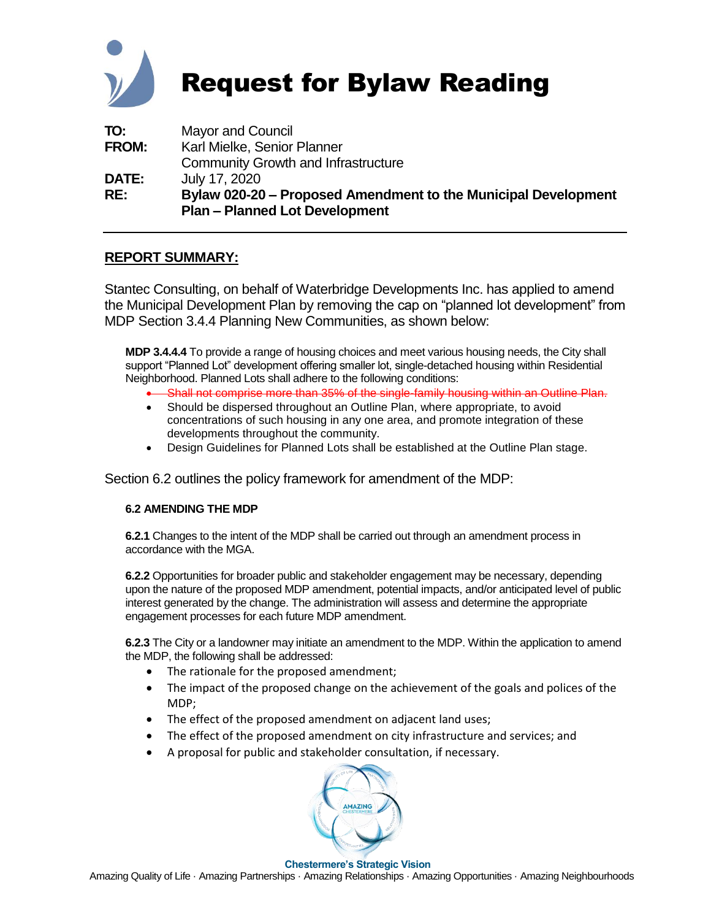

# Request for Bylaw Reading

| TO:          | Mayor and Council                                                                                       |
|--------------|---------------------------------------------------------------------------------------------------------|
| <b>FROM:</b> | Karl Mielke, Senior Planner                                                                             |
|              | <b>Community Growth and Infrastructure</b>                                                              |
| <b>DATE:</b> | July 17, 2020                                                                                           |
| RE:          | Bylaw 020-20 – Proposed Amendment to the Municipal Development<br><b>Plan - Planned Lot Development</b> |

#### **REPORT SUMMARY:**

Stantec Consulting, on behalf of Waterbridge Developments Inc. has applied to amend the Municipal Development Plan by removing the cap on "planned lot development" from MDP Section 3.4.4 Planning New Communities, as shown below:

**MDP 3.4.4.4** To provide a range of housing choices and meet various housing needs, the City shall support "Planned Lot" development offering smaller lot, single-detached housing within Residential Neighborhood. Planned Lots shall adhere to the following conditions:

- Shall not comprise more than 35% of the single-family housing within an Outline Plan.
- Should be dispersed throughout an Outline Plan, where appropriate, to avoid concentrations of such housing in any one area, and promote integration of these developments throughout the community.
- Design Guidelines for Planned Lots shall be established at the Outline Plan stage.

Section 6.2 outlines the policy framework for amendment of the MDP:

#### **6.2 AMENDING THE MDP**

**6.2.1** Changes to the intent of the MDP shall be carried out through an amendment process in accordance with the MGA.

**6.2.2** Opportunities for broader public and stakeholder engagement may be necessary, depending upon the nature of the proposed MDP amendment, potential impacts, and/or anticipated level of public interest generated by the change. The administration will assess and determine the appropriate engagement processes for each future MDP amendment.

**6.2.3** The City or a landowner may initiate an amendment to the MDP. Within the application to amend the MDP, the following shall be addressed:

- The rationale for the proposed amendment;
- The impact of the proposed change on the achievement of the goals and polices of the MDP;
- The effect of the proposed amendment on adjacent land uses;
- The effect of the proposed amendment on city infrastructure and services; and
- A proposal for public and stakeholder consultation, if necessary.



#### **Chestermere's Strategic Vision** Amazing Quality of Life · Amazing Partnerships · Amazing Relationships · Amazing Opportunities · Amazing Neighbourhoods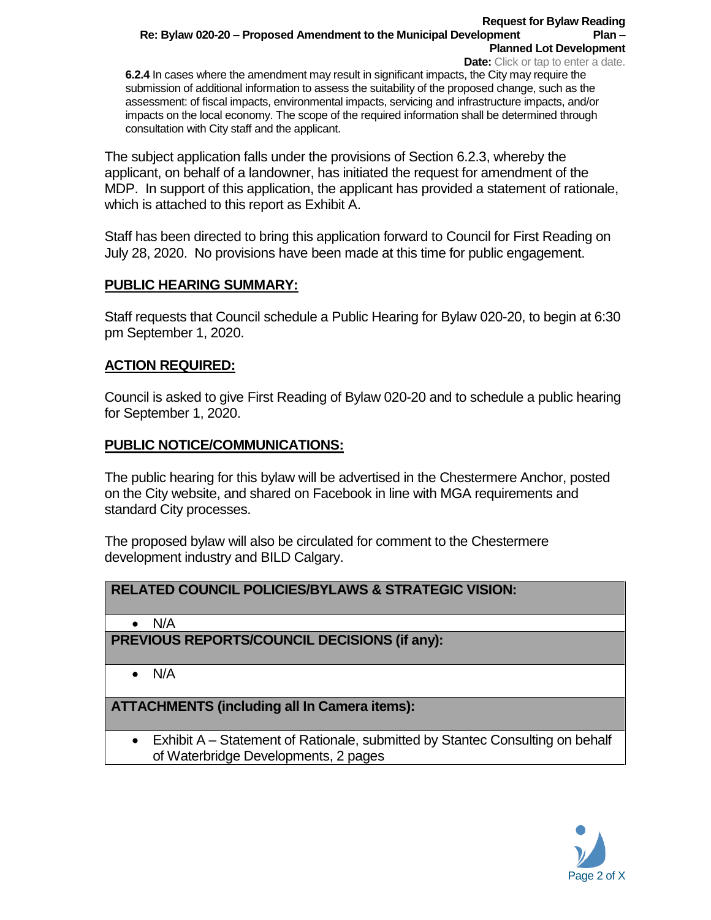#### **Request for Bylaw Reading Re: Bylaw 020-20 – Proposed Amendment to the Municipal Development Plan – Planned Lot Development**

**Date:** Click or tap to enter a date. **6.2.4** In cases where the amendment may result in significant impacts, the City may require the submission of additional information to assess the suitability of the proposed change, such as the assessment: of fiscal impacts, environmental impacts, servicing and infrastructure impacts, and/or impacts on the local economy. The scope of the required information shall be determined through consultation with City staff and the applicant.

The subject application falls under the provisions of Section 6.2.3, whereby the applicant, on behalf of a landowner, has initiated the request for amendment of the MDP. In support of this application, the applicant has provided a statement of rationale, which is attached to this report as Exhibit A.

Staff has been directed to bring this application forward to Council for First Reading on July 28, 2020. No provisions have been made at this time for public engagement.

## **PUBLIC HEARING SUMMARY:**

Staff requests that Council schedule a Public Hearing for Bylaw 020-20, to begin at 6:30 pm September 1, 2020.

## **ACTION REQUIRED:**

Council is asked to give First Reading of Bylaw 020-20 and to schedule a public hearing for September 1, 2020.

## **PUBLIC NOTICE/COMMUNICATIONS:**

The public hearing for this bylaw will be advertised in the Chestermere Anchor, posted on the City website, and shared on Facebook in line with MGA requirements and standard City processes.

The proposed bylaw will also be circulated for comment to the Chestermere development industry and BILD Calgary.

# **RELATED COUNCIL POLICIES/BYLAWS & STRATEGIC VISION:**

• N/A

**PREVIOUS REPORTS/COUNCIL DECISIONS (if any):** 

• N/A

**ATTACHMENTS (including all In Camera items):**

• Exhibit A – Statement of Rationale, submitted by Stantec Consulting on behalf of Waterbridge Developments, 2 pages